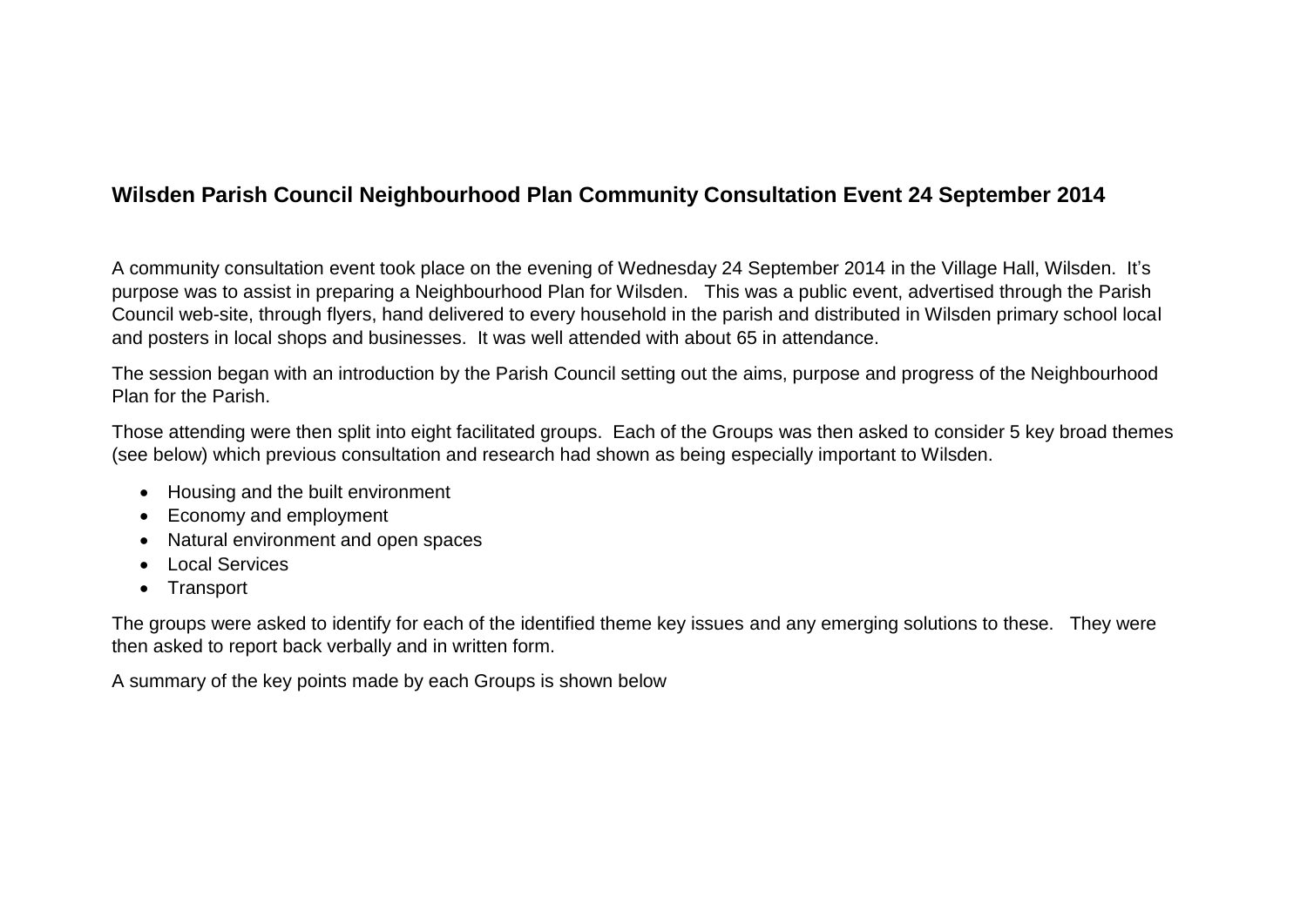## **Wilsden Parish Council Neighbourhood Plan Community Consultation Event 24 September 2014**

A community consultation event took place on the evening of Wednesday 24 September 2014 in the Village Hall, Wilsden. It's purpose was to assist in preparing a Neighbourhood Plan for Wilsden. This was a public event, advertised through the Parish Council web-site, through flyers, hand delivered to every household in the parish and distributed in Wilsden primary school local and posters in local shops and businesses. It was well attended with about 65 in attendance.

The session began with an introduction by the Parish Council setting out the aims, purpose and progress of the Neighbourhood Plan for the Parish.

Those attending were then split into eight facilitated groups. Each of the Groups was then asked to consider 5 key broad themes (see below) which previous consultation and research had shown as being especially important to Wilsden.

- Housing and the built environment
- Economy and employment
- Natural environment and open spaces
- **.** Local Services
- Transport

The groups were asked to identify for each of the identified theme key issues and any emerging solutions to these. They were then asked to report back verbally and in written form.

A summary of the key points made by each Groups is shown below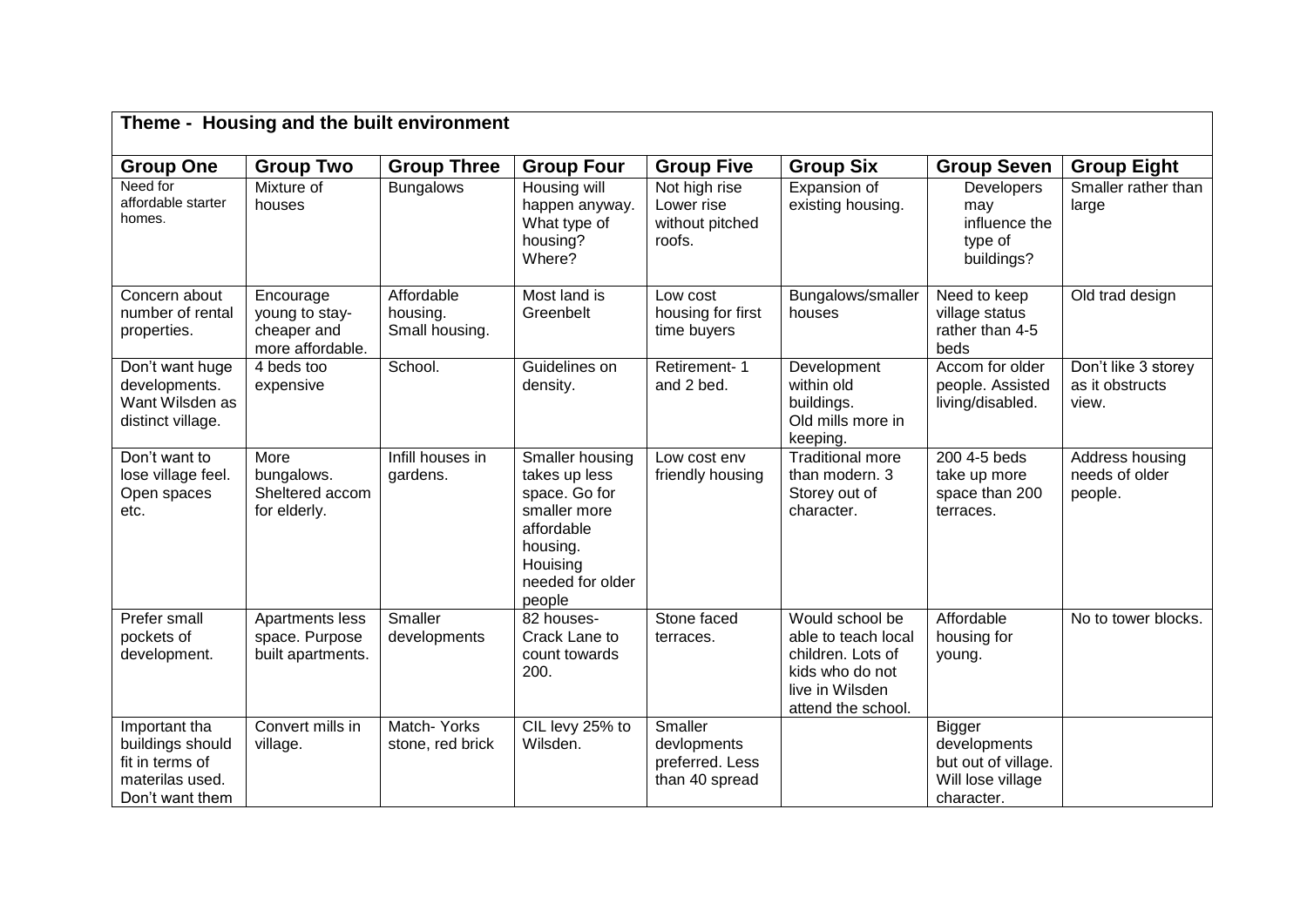| Theme - Housing and the built environment                                                  |                                                                |                                          |                                                                                                                                       |                                                             |                                                                                                                         |                                                                                         |                                                 |  |  |
|--------------------------------------------------------------------------------------------|----------------------------------------------------------------|------------------------------------------|---------------------------------------------------------------------------------------------------------------------------------------|-------------------------------------------------------------|-------------------------------------------------------------------------------------------------------------------------|-----------------------------------------------------------------------------------------|-------------------------------------------------|--|--|
| <b>Group One</b>                                                                           | <b>Group Two</b>                                               | <b>Group Three</b>                       | <b>Group Four</b>                                                                                                                     | <b>Group Five</b>                                           | <b>Group Six</b>                                                                                                        | <b>Group Seven</b>                                                                      | <b>Group Eight</b>                              |  |  |
| Need for<br>affordable starter<br>homes.                                                   | Mixture of<br>houses                                           | <b>Bungalows</b>                         | Housing will<br>happen anyway.<br>What type of<br>housing?<br>Where?                                                                  | Not high rise<br>Lower rise<br>without pitched<br>roofs.    | Expansion of<br>existing housing.                                                                                       | <b>Developers</b><br>may<br>influence the<br>type of<br>buildings?                      | Smaller rather than<br>large                    |  |  |
| Concern about<br>number of rental<br>properties.                                           | Encourage<br>young to stay-<br>cheaper and<br>more affordable. | Affordable<br>housing.<br>Small housing. | Most land is<br>Greenbelt                                                                                                             | Low cost<br>housing for first<br>time buyers                | Bungalows/smaller<br>houses                                                                                             | Need to keep<br>village status<br>rather than 4-5<br>beds                               | Old trad design                                 |  |  |
| Don't want huge<br>developments.<br>Want Wilsden as<br>distinct village.                   | 4 beds too<br>expensive                                        | School.                                  | Guidelines on<br>density.                                                                                                             | Retirement-1<br>and 2 bed.                                  | Development<br>within old<br>buildings.<br>Old mills more in<br>keeping.                                                | Accom for older<br>people. Assisted<br>living/disabled.                                 | Don't like 3 storey<br>as it obstructs<br>view. |  |  |
| Don't want to<br>lose village feel.<br>Open spaces<br>etc.                                 | More<br>bungalows.<br>Sheltered accom<br>for elderly.          | Infill houses in<br>gardens.             | Smaller housing<br>takes up less<br>space. Go for<br>smaller more<br>affordable<br>housing.<br>Houising<br>needed for older<br>people | Low cost env<br>friendly housing                            | <b>Traditional more</b><br>than modern. 3<br>Storey out of<br>character.                                                | 200 4-5 beds<br>take up more<br>space than 200<br>terraces.                             | Address housing<br>needs of older<br>people.    |  |  |
| Prefer small<br>pockets of<br>development.                                                 | Apartments less<br>space. Purpose<br>built apartments.         | Smaller<br>developments                  | 82 houses-<br>Crack Lane to<br>count towards<br>200.                                                                                  | Stone faced<br>terraces.                                    | Would school be<br>able to teach local<br>children. Lots of<br>kids who do not<br>live in Wilsden<br>attend the school. | Affordable<br>housing for<br>young.                                                     | No to tower blocks.                             |  |  |
| Important tha<br>buildings should<br>fit in terms of<br>materilas used.<br>Don't want them | Convert mills in<br>village.                                   | Match-Yorks<br>stone, red brick          | CIL levy 25% to<br>Wilsden.                                                                                                           | Smaller<br>devlopments<br>preferred. Less<br>than 40 spread |                                                                                                                         | <b>Bigger</b><br>developments<br>but out of village.<br>Will lose village<br>character. |                                                 |  |  |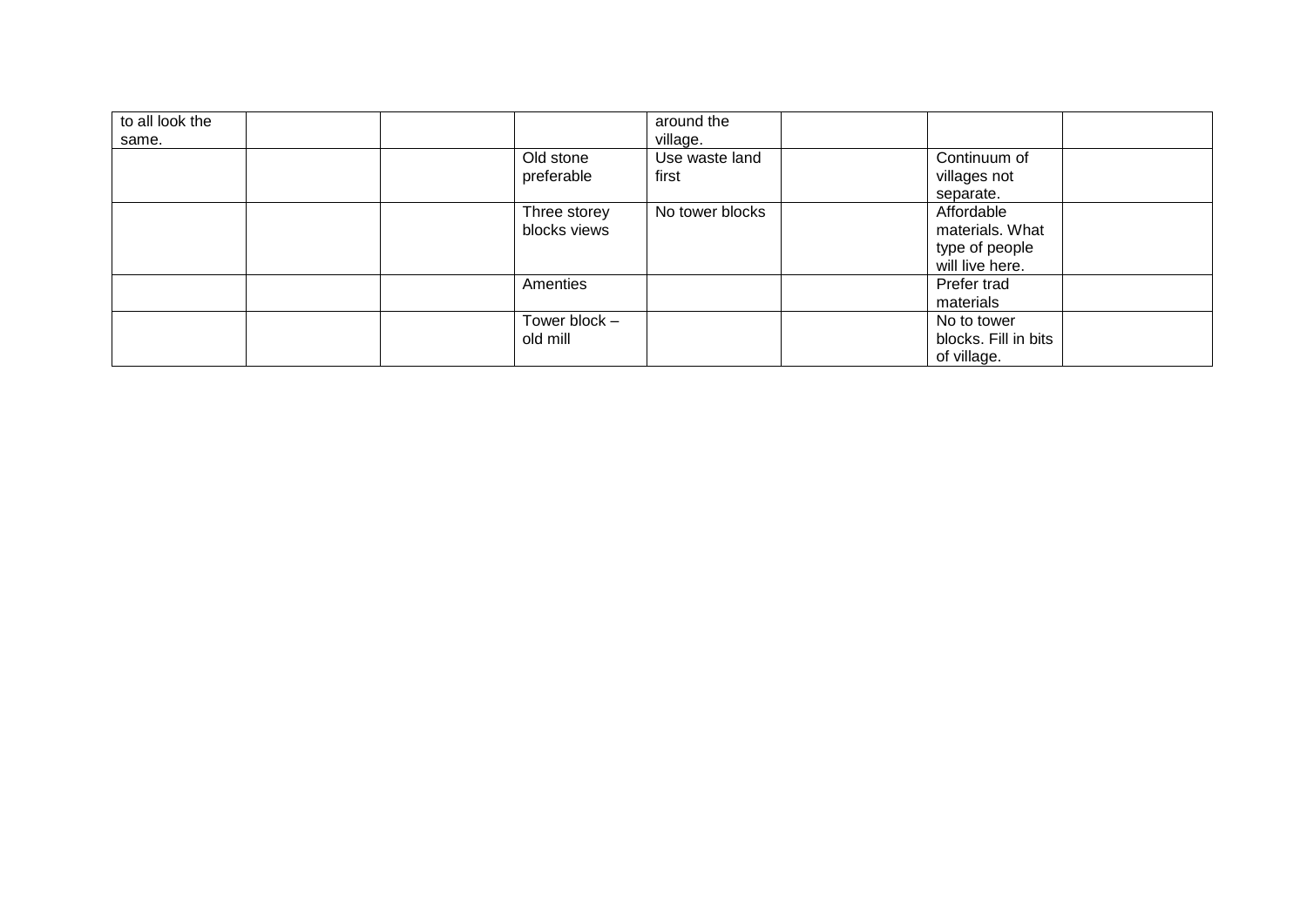| to all look the<br>same. |                              | around the<br>village.  |                                                                    |  |
|--------------------------|------------------------------|-------------------------|--------------------------------------------------------------------|--|
|                          | Old stone<br>preferable      | Use waste land<br>first | Continuum of<br>villages not<br>separate.                          |  |
|                          | Three storey<br>blocks views | No tower blocks         | Affordable<br>materials. What<br>type of people<br>will live here. |  |
|                          | Amenties                     |                         | Prefer trad<br>materials                                           |  |
|                          | Tower block -<br>old mill    |                         | No to tower<br>blocks. Fill in bits<br>of village.                 |  |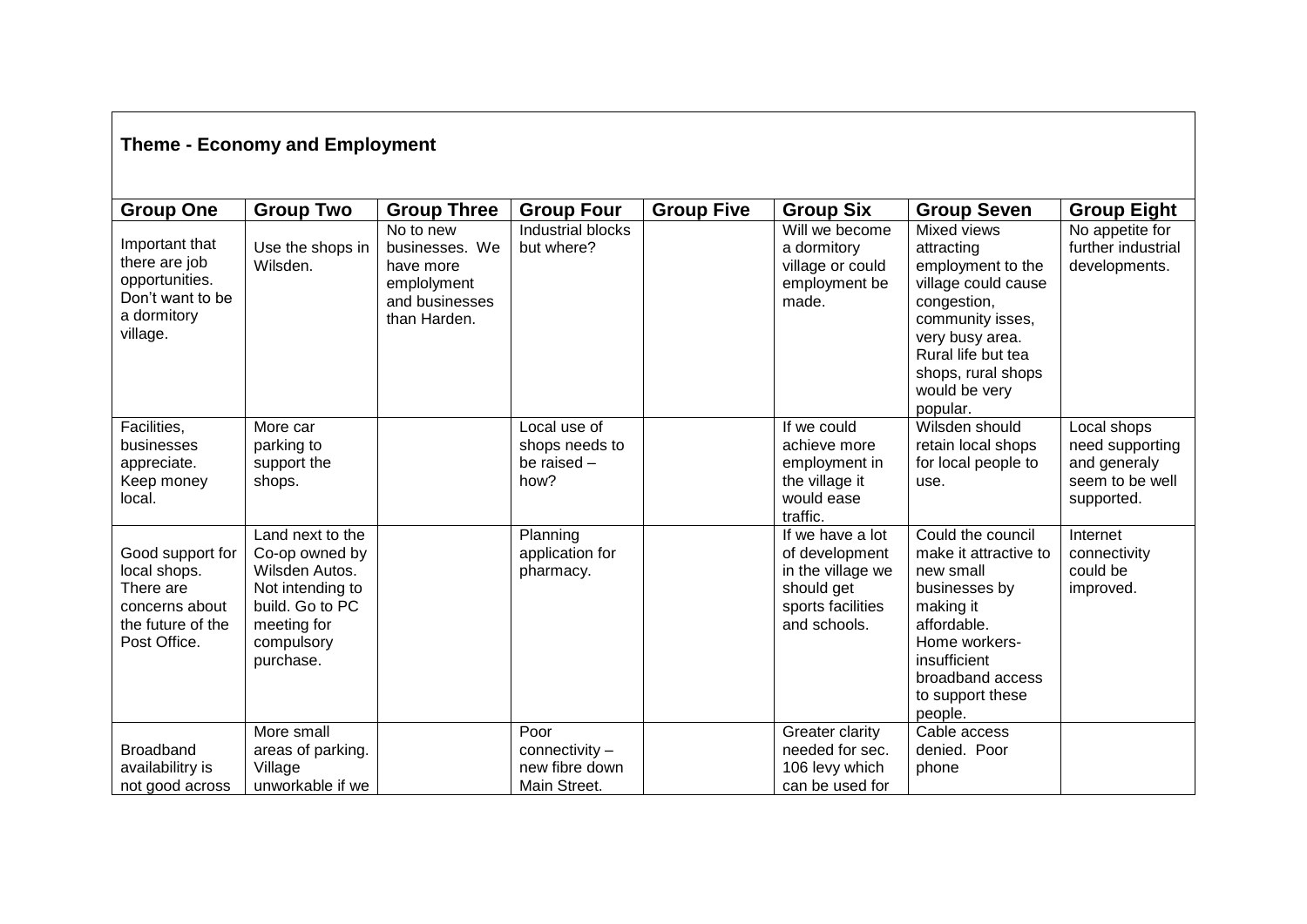## **Theme - Economy and Employment**

| <b>Group One</b><br>Important that<br>there are job<br>opportunities.<br>Don't want to be<br>a dormitory<br>village. | <b>Group Two</b><br>Use the shops in<br>Wilsden.                                                                                      | <b>Group Three</b><br>No to new<br>businesses. We<br>have more<br>emplolyment<br>and businesses<br>than Harden. | <b>Group Four</b><br>Industrial blocks<br>but where?     | <b>Group Five</b> | <b>Group Six</b><br>Will we become<br>a dormitory<br>village or could<br>employment be<br>made.            | <b>Group Seven</b><br>Mixed views<br>attracting<br>employment to the<br>village could cause<br>congestion,<br>community isses,                                                           | <b>Group Eight</b><br>No appetite for<br>further industrial<br>developments.    |
|----------------------------------------------------------------------------------------------------------------------|---------------------------------------------------------------------------------------------------------------------------------------|-----------------------------------------------------------------------------------------------------------------|----------------------------------------------------------|-------------------|------------------------------------------------------------------------------------------------------------|------------------------------------------------------------------------------------------------------------------------------------------------------------------------------------------|---------------------------------------------------------------------------------|
|                                                                                                                      |                                                                                                                                       |                                                                                                                 |                                                          |                   |                                                                                                            | very busy area.<br>Rural life but tea<br>shops, rural shops<br>would be very<br>popular.                                                                                                 |                                                                                 |
| Facilities,<br>businesses<br>appreciate.<br>Keep money<br>local.                                                     | More car<br>parking to<br>support the<br>shops.                                                                                       |                                                                                                                 | Local use of<br>shops needs to<br>be raised -<br>how?    |                   | If we could<br>achieve more<br>employment in<br>the village it<br>would ease<br>traffic.                   | Wilsden should<br>retain local shops<br>for local people to<br>use.                                                                                                                      | Local shops<br>need supporting<br>and generaly<br>seem to be well<br>supported. |
| Good support for<br>local shops.<br>There are<br>concerns about<br>the future of the<br>Post Office.                 | Land next to the<br>Co-op owned by<br>Wilsden Autos.<br>Not intending to<br>build. Go to PC<br>meeting for<br>compulsory<br>purchase. |                                                                                                                 | Planning<br>application for<br>pharmacy.                 |                   | If we have a lot<br>of development<br>in the village we<br>should get<br>sports facilities<br>and schools. | Could the council<br>make it attractive to<br>new small<br>businesses by<br>making it<br>affordable.<br>Home workers-<br>insufficient<br>broadband access<br>to support these<br>people. | Internet<br>connectivity<br>could be<br>improved.                               |
| Broadband<br>availabilitry is<br>not good across                                                                     | More small<br>areas of parking.<br>Village<br>unworkable if we                                                                        |                                                                                                                 | Poor<br>connectivity -<br>new fibre down<br>Main Street. |                   | Greater clarity<br>needed for sec.<br>106 levy which<br>can be used for                                    | Cable access<br>denied. Poor<br>phone                                                                                                                                                    |                                                                                 |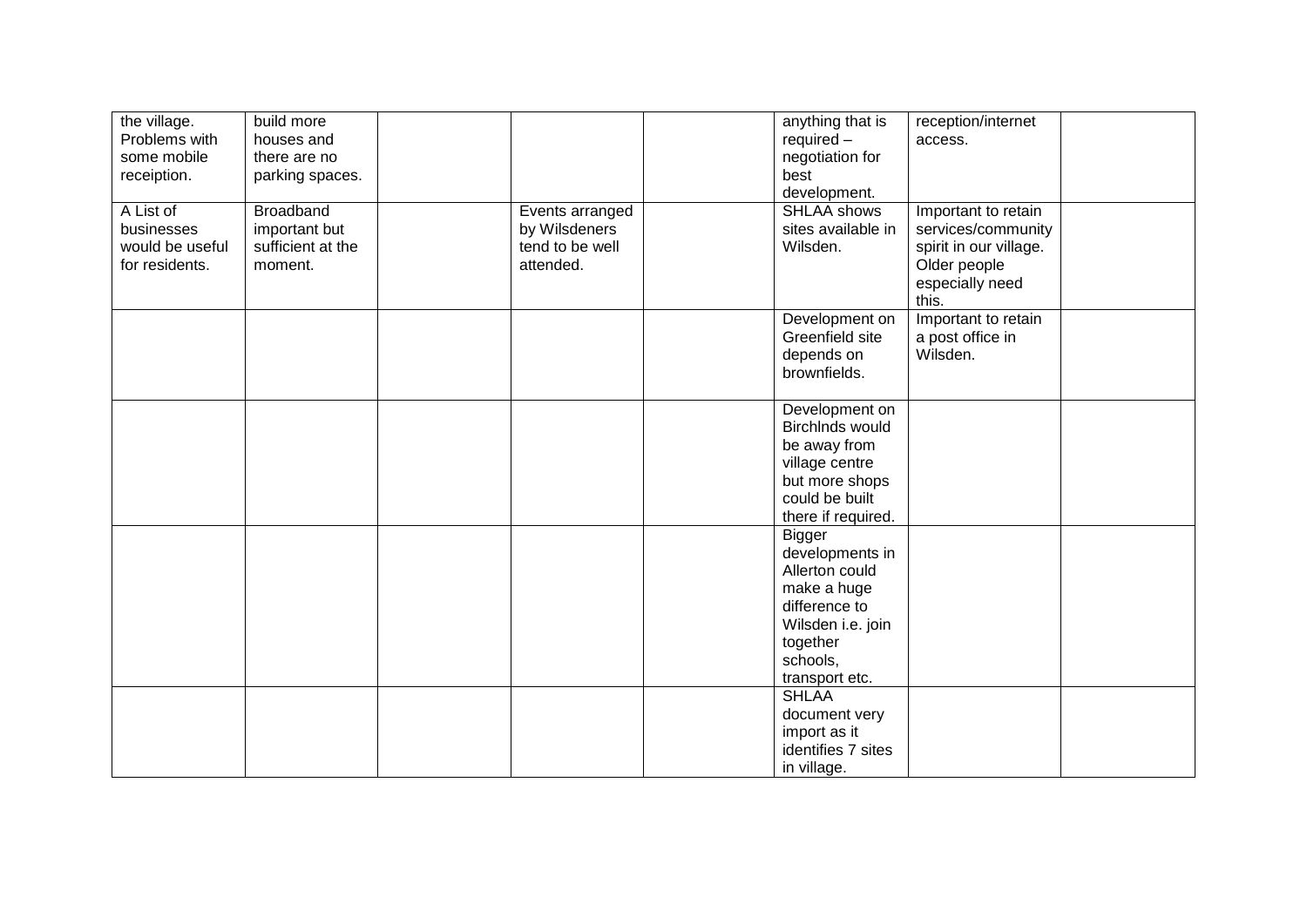| the village.    | build more        |                 | anything that is   | reception/internet     |  |
|-----------------|-------------------|-----------------|--------------------|------------------------|--|
| Problems with   | houses and        |                 | $required -$       | access.                |  |
| some mobile     | there are no      |                 | negotiation for    |                        |  |
| receiption.     | parking spaces.   |                 | best               |                        |  |
|                 |                   |                 | development.       |                        |  |
| A List of       | <b>Broadband</b>  | Events arranged | <b>SHLAA shows</b> | Important to retain    |  |
| businesses      | important but     | by Wilsdeners   | sites available in | services/community     |  |
| would be useful | sufficient at the | tend to be well | Wilsden.           | spirit in our village. |  |
| for residents.  | moment.           | attended.       |                    | Older people           |  |
|                 |                   |                 |                    | especially need        |  |
|                 |                   |                 |                    | this.                  |  |
|                 |                   |                 | Development on     | Important to retain    |  |
|                 |                   |                 | Greenfield site    | a post office in       |  |
|                 |                   |                 | depends on         | Wilsden.               |  |
|                 |                   |                 | brownfields.       |                        |  |
|                 |                   |                 |                    |                        |  |
|                 |                   |                 | Development on     |                        |  |
|                 |                   |                 | BirchInds would    |                        |  |
|                 |                   |                 | be away from       |                        |  |
|                 |                   |                 | village centre     |                        |  |
|                 |                   |                 | but more shops     |                        |  |
|                 |                   |                 | could be built     |                        |  |
|                 |                   |                 | there if required. |                        |  |
|                 |                   |                 | <b>Bigger</b>      |                        |  |
|                 |                   |                 | developments in    |                        |  |
|                 |                   |                 | Allerton could     |                        |  |
|                 |                   |                 | make a huge        |                        |  |
|                 |                   |                 | difference to      |                        |  |
|                 |                   |                 | Wilsden i.e. join  |                        |  |
|                 |                   |                 | together           |                        |  |
|                 |                   |                 | schools,           |                        |  |
|                 |                   |                 | transport etc.     |                        |  |
|                 |                   |                 | <b>SHLAA</b>       |                        |  |
|                 |                   |                 | document very      |                        |  |
|                 |                   |                 | import as it       |                        |  |
|                 |                   |                 | identifies 7 sites |                        |  |
|                 |                   |                 | in village.        |                        |  |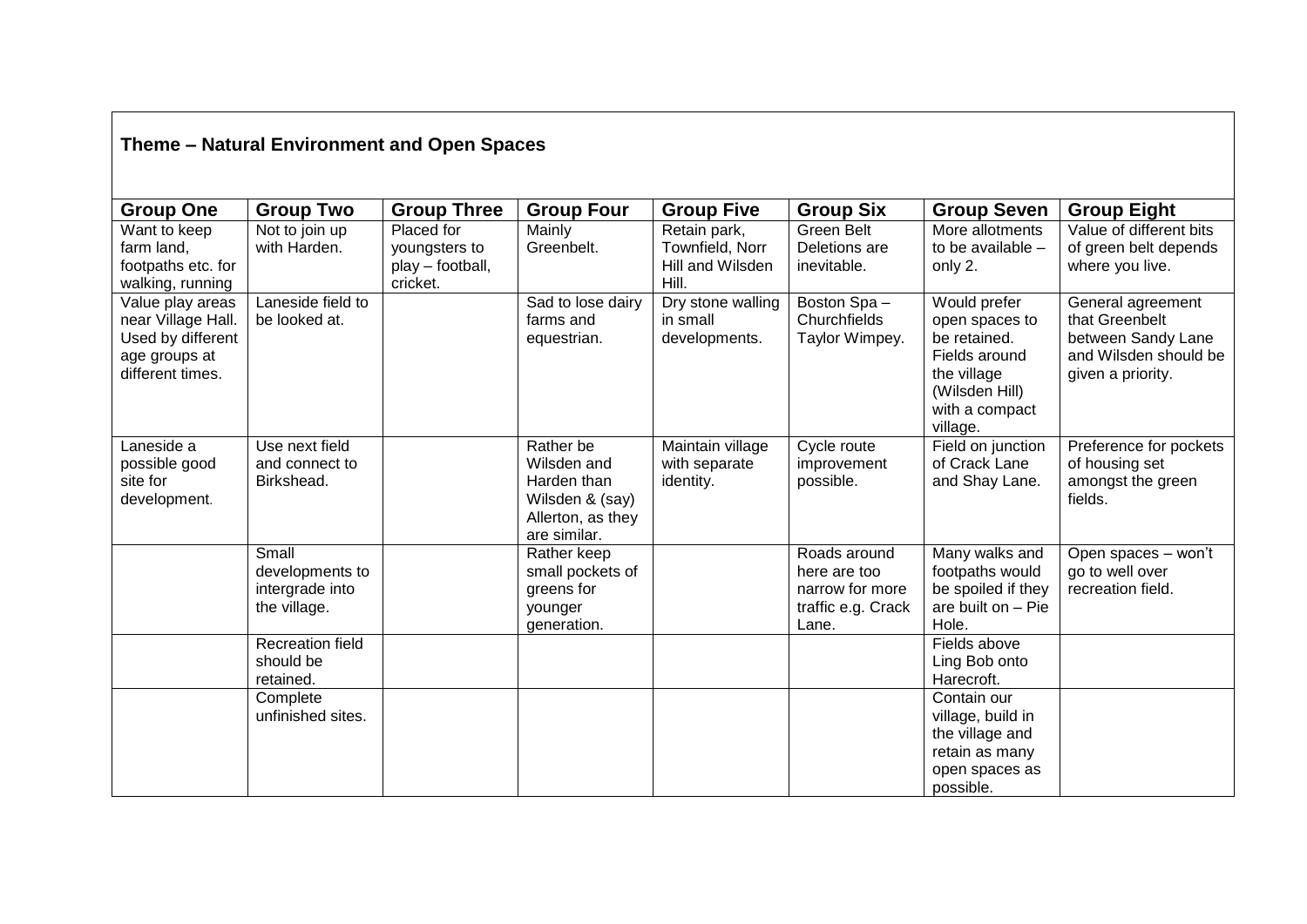## **Theme – Natural Environment and Open Spaces**

| <b>Group One</b>                                                                                 | <b>Group Two</b>                                            | <b>Group Three</b>                                          | <b>Group Four</b>                                                                               | <b>Group Five</b>                                            | <b>Group Six</b>                                                               | <b>Group Seven</b>                                                                                                             | <b>Group Eight</b>                                                                                      |
|--------------------------------------------------------------------------------------------------|-------------------------------------------------------------|-------------------------------------------------------------|-------------------------------------------------------------------------------------------------|--------------------------------------------------------------|--------------------------------------------------------------------------------|--------------------------------------------------------------------------------------------------------------------------------|---------------------------------------------------------------------------------------------------------|
| Want to keep<br>farm land,<br>footpaths etc. for<br>walking, running                             | Not to join up<br>with Harden.                              | Placed for<br>youngsters to<br>play - football,<br>cricket. | Mainly<br>Greenbelt.                                                                            | Retain park,<br>Townfield, Norr<br>Hill and Wilsden<br>Hill. | Green Belt<br>Deletions are<br>inevitable.                                     | More allotments<br>to be available -<br>only 2.                                                                                | Value of different bits<br>of green belt depends<br>where you live.                                     |
| Value play areas<br>near Village Hall.<br>Used by different<br>age groups at<br>different times. | Laneside field to<br>be looked at.                          |                                                             | Sad to lose dairy<br>farms and<br>equestrian.                                                   | Dry stone walling<br>in small<br>developments.               | Boston Spa-<br>Churchfields<br>Taylor Wimpey.                                  | Would prefer<br>open spaces to<br>be retained.<br>Fields around<br>the village<br>(Wilsden Hill)<br>with a compact<br>village. | General agreement<br>that Greenbelt<br>between Sandy Lane<br>and Wilsden should be<br>given a priority. |
| Laneside a<br>possible good<br>site for<br>development.                                          | Use next field<br>and connect to<br>Birkshead.              |                                                             | Rather be<br>Wilsden and<br>Harden than<br>Wilsden & (say)<br>Allerton, as they<br>are similar. | Maintain village<br>with separate<br>identity.               | Cycle route<br>improvement<br>possible.                                        | Field on junction<br>of Crack Lane<br>and Shay Lane.                                                                           | Preference for pockets<br>of housing set<br>amongst the green<br>fields.                                |
|                                                                                                  | Small<br>developments to<br>intergrade into<br>the village. |                                                             | Rather keep<br>small pockets of<br>greens for<br>younger<br>generation.                         |                                                              | Roads around<br>here are too<br>narrow for more<br>traffic e.g. Crack<br>Lane. | Many walks and<br>footpaths would<br>be spoiled if they<br>are built on - Pie<br>Hole.                                         | Open spaces - won't<br>go to well over<br>recreation field.                                             |
|                                                                                                  | <b>Recreation field</b><br>should be<br>retained.           |                                                             |                                                                                                 |                                                              |                                                                                | Fields above<br>Ling Bob onto<br>Harecroft.                                                                                    |                                                                                                         |
|                                                                                                  | Complete<br>unfinished sites.                               |                                                             |                                                                                                 |                                                              |                                                                                | Contain our<br>village, build in<br>the village and<br>retain as many<br>open spaces as<br>possible.                           |                                                                                                         |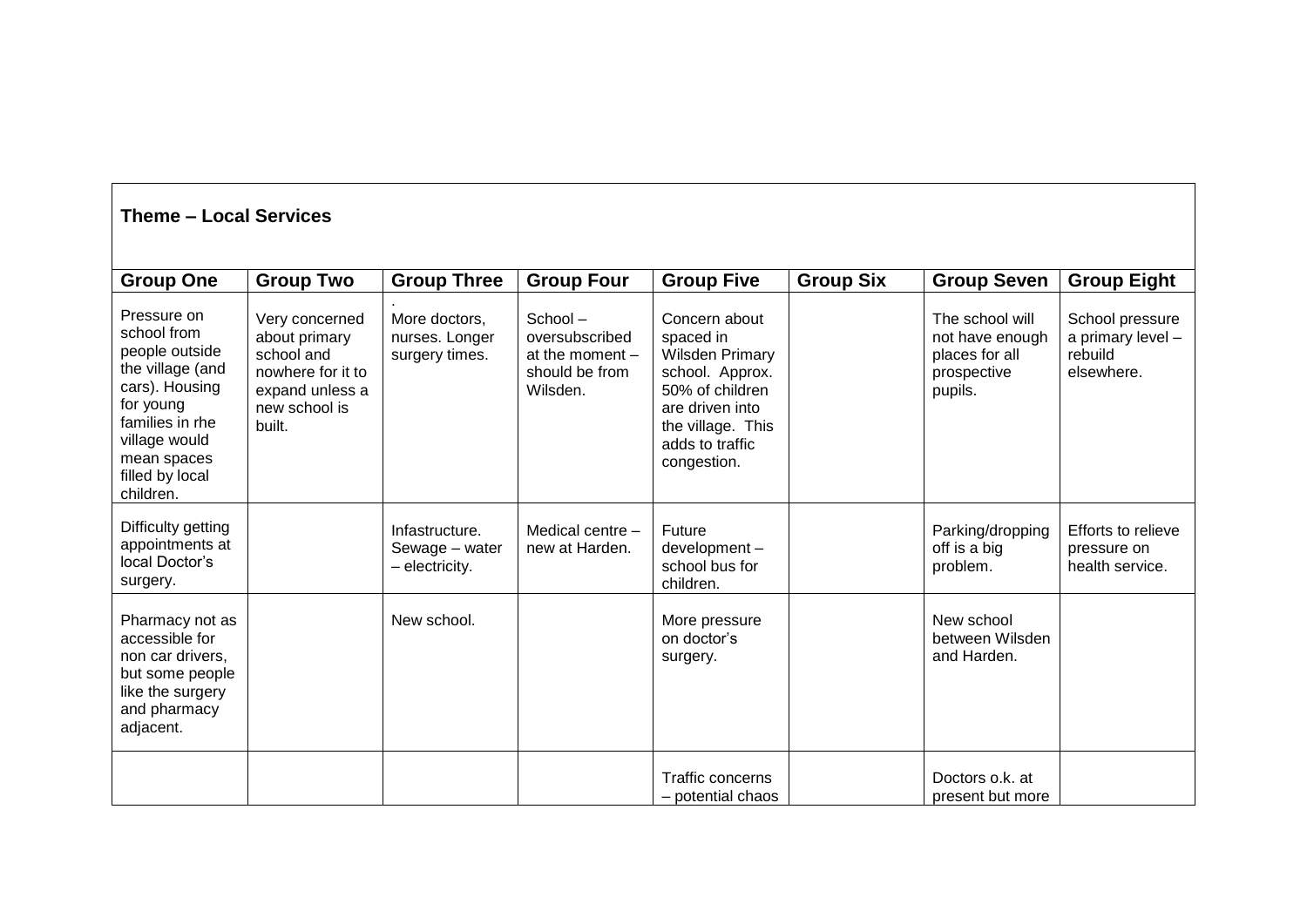| <b>Theme - Local Services</b>                                                                                                                                                      |                                                                                                                  |                                                    |                                                                              |                                                                                                                                                                      |                  |                                                                                |                                                               |  |  |
|------------------------------------------------------------------------------------------------------------------------------------------------------------------------------------|------------------------------------------------------------------------------------------------------------------|----------------------------------------------------|------------------------------------------------------------------------------|----------------------------------------------------------------------------------------------------------------------------------------------------------------------|------------------|--------------------------------------------------------------------------------|---------------------------------------------------------------|--|--|
| <b>Group One</b>                                                                                                                                                                   | <b>Group Two</b>                                                                                                 | <b>Group Three</b>                                 | <b>Group Four</b>                                                            | <b>Group Five</b>                                                                                                                                                    | <b>Group Six</b> | <b>Group Seven</b>                                                             | <b>Group Eight</b>                                            |  |  |
| Pressure on<br>school from<br>people outside<br>the village (and<br>cars). Housing<br>for young<br>families in rhe<br>village would<br>mean spaces<br>filled by local<br>children. | Very concerned<br>about primary<br>school and<br>nowhere for it to<br>expand unless a<br>new school is<br>built. | More doctors,<br>nurses. Longer<br>surgery times.  | School-<br>oversubscribed<br>at the moment $-$<br>should be from<br>Wilsden. | Concern about<br>spaced in<br><b>Wilsden Primary</b><br>school. Approx.<br>50% of children<br>are driven into<br>the village. This<br>adds to traffic<br>congestion. |                  | The school will<br>not have enough<br>places for all<br>prospective<br>pupils. | School pressure<br>a primary level -<br>rebuild<br>elsewhere. |  |  |
| Difficulty getting<br>appointments at<br>local Doctor's<br>surgery.                                                                                                                |                                                                                                                  | Infastructure.<br>Sewage - water<br>- electricity. | Medical centre -<br>new at Harden.                                           | Future<br>development-<br>school bus for<br>children.                                                                                                                |                  | Parking/dropping<br>off is a big<br>problem.                                   | Efforts to relieve<br>pressure on<br>health service.          |  |  |
| Pharmacy not as<br>accessible for<br>non car drivers,<br>but some people<br>like the surgery<br>and pharmacy<br>adjacent.                                                          |                                                                                                                  | New school.                                        |                                                                              | More pressure<br>on doctor's<br>surgery.                                                                                                                             |                  | New school<br>between Wilsden<br>and Harden.                                   |                                                               |  |  |
|                                                                                                                                                                                    |                                                                                                                  |                                                    |                                                                              | <b>Traffic concerns</b><br>- potential chaos                                                                                                                         |                  | Doctors o.k. at<br>present but more                                            |                                                               |  |  |

 $\overline{\phantom{a}}$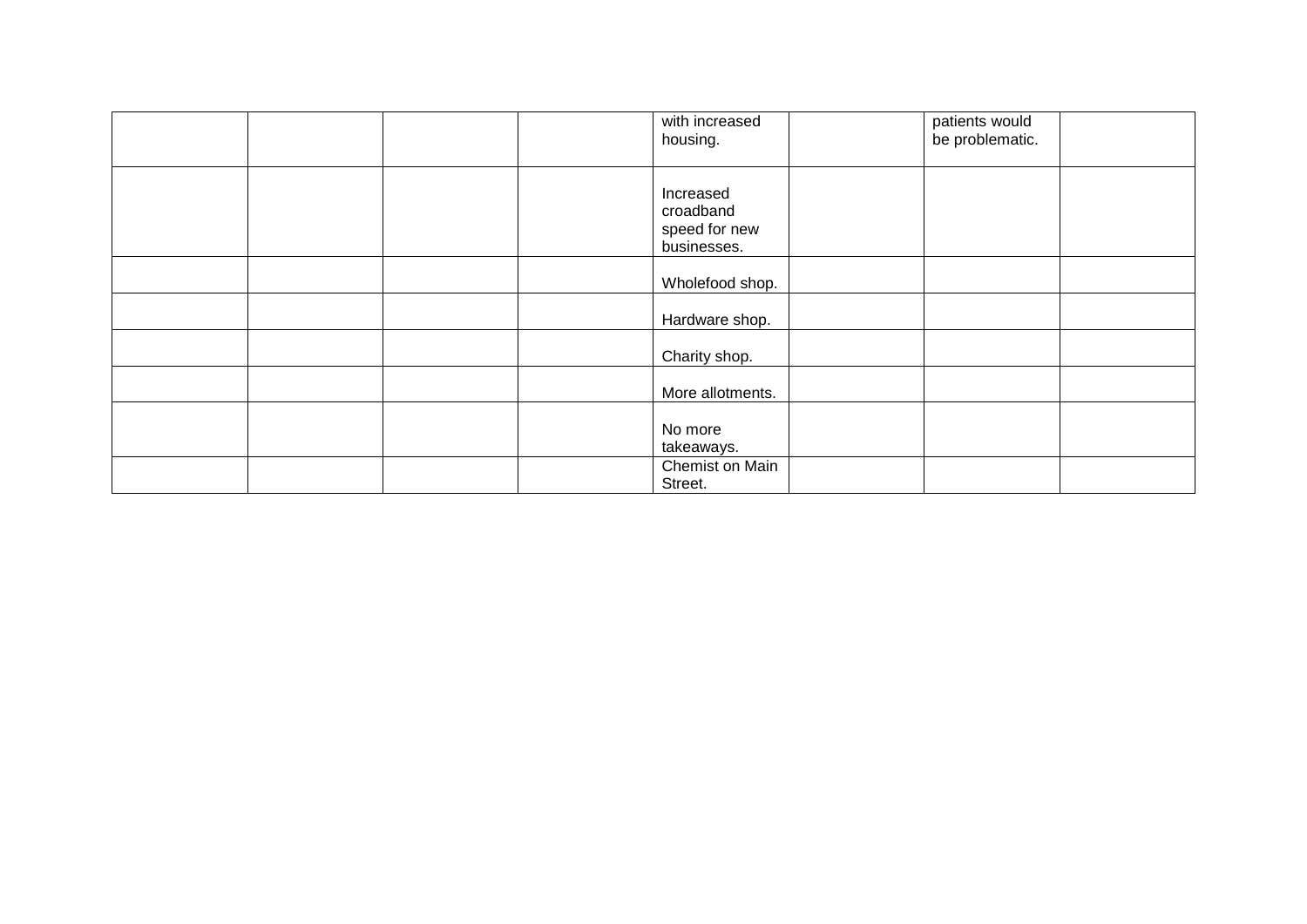|  |  | with increased<br>housing.                             | patients would<br>be problematic. |  |
|--|--|--------------------------------------------------------|-----------------------------------|--|
|  |  | Increased<br>croadband<br>speed for new<br>businesses. |                                   |  |
|  |  | Wholefood shop.                                        |                                   |  |
|  |  | Hardware shop.                                         |                                   |  |
|  |  | Charity shop.                                          |                                   |  |
|  |  | More allotments.                                       |                                   |  |
|  |  | No more<br>takeaways.                                  |                                   |  |
|  |  | Chemist on Main<br>Street.                             |                                   |  |